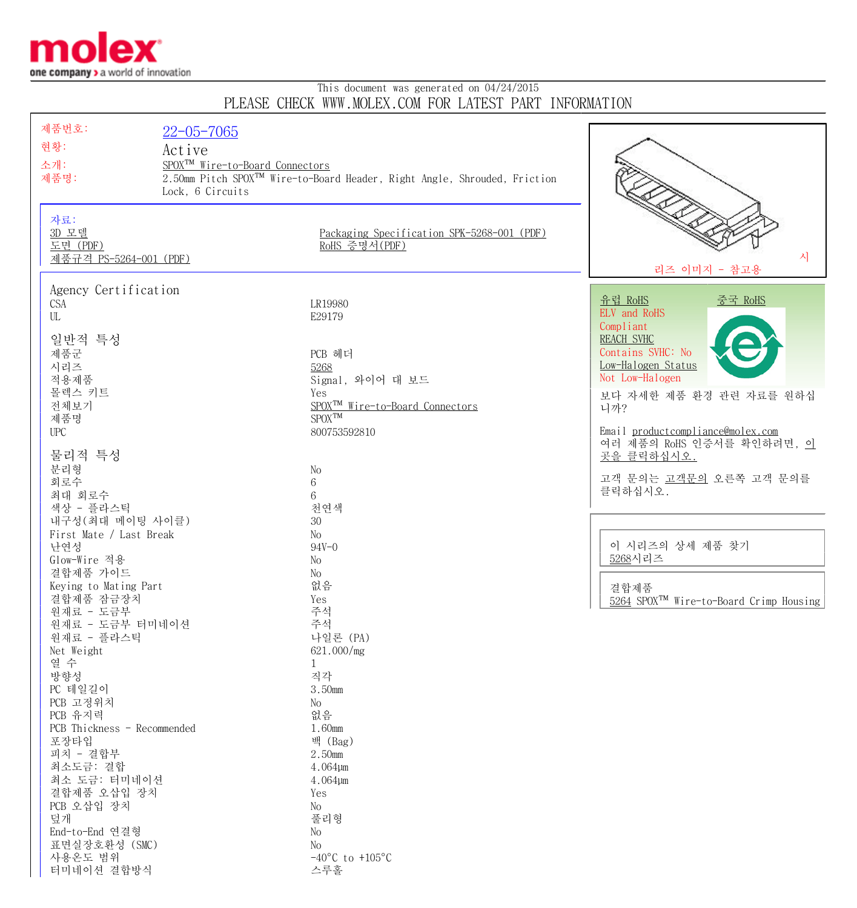

터미네이션 결합방식 스루홀

## This document was generated on 04/24/2015 PLEASE CHECK WWW.MOLEX.COM FOR LATEST PART INFORMATION

| 제품번호:                              | $22 - 05 - 7065$                            |                                                                                       |                                                     |
|------------------------------------|---------------------------------------------|---------------------------------------------------------------------------------------|-----------------------------------------------------|
| 현황:                                |                                             |                                                                                       |                                                     |
|                                    | Active                                      |                                                                                       |                                                     |
| 소개:                                | SPOX <sup>TM</sup> Wire-to-Board Connectors |                                                                                       |                                                     |
| 제품명:                               |                                             | 2.50mm Pitch SPOX <sup>TM</sup> Wire-to-Board Header, Right Angle, Shrouded, Friction |                                                     |
|                                    | Lock, 6 Circuits                            |                                                                                       |                                                     |
|                                    |                                             |                                                                                       |                                                     |
| 자료:                                |                                             |                                                                                       |                                                     |
| 3D 모델                              |                                             | Packaging Specification SPK-5268-001 (PDF)                                            |                                                     |
| 도면 (PDF)<br>제품규격 PS-5264-001 (PDF) |                                             | RoHS 증명서(PDF)                                                                         | 시                                                   |
|                                    |                                             |                                                                                       | 리즈 이미지 - 참고용                                        |
|                                    |                                             |                                                                                       |                                                     |
| Agency Certification               |                                             |                                                                                       | <u>유럽 RoHS</u><br><u>중국 RoHS</u>                    |
| <b>CSA</b>                         |                                             | LR19980                                                                               | ELV and RoHS                                        |
| UL                                 |                                             | E29179                                                                                | Compliant                                           |
| 일반적 특성                             |                                             |                                                                                       | <b>REACH SVHC</b>                                   |
| 제품군                                |                                             | PCB 헤더                                                                                | Contains SVHC: No                                   |
| 시리즈                                |                                             | 5268                                                                                  | Low-Halogen Status                                  |
| 적용제품                               |                                             | Signal, 와이어 대 보드                                                                      | Not Low-Halogen                                     |
| 몰렉스 키트                             |                                             | Yes                                                                                   | 보다 자세한 제품 환경 관련 자료를 원하십                             |
| 전체보기                               |                                             | SPOX <sup>™</sup> Wire-to-Board Connectors                                            | 니까?                                                 |
| 제품명                                |                                             | $SPOX^{TM}$                                                                           |                                                     |
| <b>UPC</b>                         |                                             | 800753592810                                                                          | Email productcompliance@molex.com                   |
|                                    |                                             |                                                                                       | 여러 제품의 RoHS 인증서를 확인하려면, 이                           |
| 물리적 특성                             |                                             |                                                                                       | 곳을 클릭하십시오.                                          |
| 분리형                                |                                             | No                                                                                    |                                                     |
| 회로수                                |                                             | $6\,$                                                                                 | 고객 문의는 고객문의 오른쪽 고객 문의를                              |
| 최대 회로수                             |                                             | 6                                                                                     | 클릭하십시오.                                             |
| 색상 - 플라스틱                          |                                             | 천연색                                                                                   |                                                     |
| 내구성(최대 메이팅 사이클)                    |                                             | 30                                                                                    |                                                     |
| First Mate / Last Break            |                                             | No                                                                                    |                                                     |
| 난연성                                |                                             | $94V - 0$                                                                             | 이 시리즈의 상세 제품 찾기                                     |
| Glow-Wire 적용                       |                                             | No                                                                                    | 5268시리즈                                             |
| 결합제품 가이드                           |                                             | No                                                                                    |                                                     |
| Keying to Mating Part              |                                             | 없음                                                                                    | 결합제품                                                |
| 결합제품 잠금장치                          |                                             | Yes                                                                                   | 5264 SPOX <sup>TM</sup> Wire-to-Board Crimp Housing |
| 원재료 - 도금부                          |                                             | 주석                                                                                    |                                                     |
| 원재료 - 도금부 터미네이션<br>원재료 - 플라스틱      |                                             | 주석<br>나일론 (PA)                                                                        |                                                     |
| Net Weight                         |                                             | 621.000/mg                                                                            |                                                     |
| 열 수                                |                                             | $\mathbf 1$                                                                           |                                                     |
| 방향성                                |                                             | 직각                                                                                    |                                                     |
| PC 테일길이                            |                                             | 3.50mm                                                                                |                                                     |
| PCB 고정위치                           |                                             | No                                                                                    |                                                     |
| PCB 유지력                            |                                             | 없음                                                                                    |                                                     |
| PCB Thickness - Recommended        |                                             | 1.60mm                                                                                |                                                     |
| 포장타입                               |                                             | 백 (Bag)                                                                               |                                                     |
| 피치 - 결합부                           |                                             | 2.50mm                                                                                |                                                     |
| 최소도금: 결합                           |                                             | 4.064µm                                                                               |                                                     |
| 최소 도금: 터미네이션                       |                                             | 4.064µm                                                                               |                                                     |
| 결합제품 오삽입 장치                        |                                             | Yes                                                                                   |                                                     |
| PCB 오삽입 장치                         |                                             | No                                                                                    |                                                     |
| 덮개                                 |                                             | 풀리형                                                                                   |                                                     |
| End-to-End 연결형                     |                                             | No                                                                                    |                                                     |
| 표면실장호환성 (SMC)                      |                                             | No                                                                                    |                                                     |
| 사용온도 범위                            |                                             | $-40^{\circ}$ C to $+105^{\circ}$ C                                                   |                                                     |